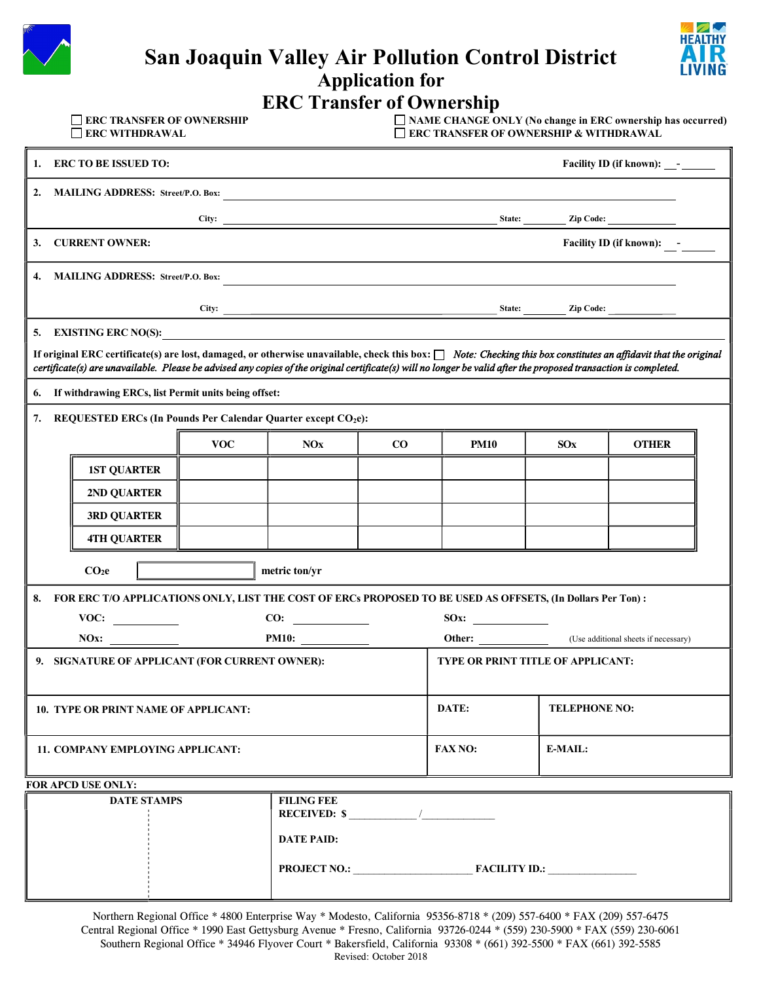|    |                                                    |                                                              |                                                      | <b>Application for</b> | <b>San Joaquin Valley Air Pollution Control District</b>                                                                                                                                                                                                                                                                              |                      |                                   | HEALTHY |
|----|----------------------------------------------------|--------------------------------------------------------------|------------------------------------------------------|------------------------|---------------------------------------------------------------------------------------------------------------------------------------------------------------------------------------------------------------------------------------------------------------------------------------------------------------------------------------|----------------------|-----------------------------------|---------|
|    |                                                    |                                                              | <b>ERC Transfer of Ownership</b>                     |                        |                                                                                                                                                                                                                                                                                                                                       |                      |                                   |         |
|    | <b>ERC TRANSFER OF OWNERSHIP</b><br>ERC WITHDRAWAL |                                                              |                                                      |                        | $\Box$ NAME CHANGE ONLY (No change in ERC ownership has occurred)<br>ERC TRANSFER OF OWNERSHIP & WITHDRAWAL                                                                                                                                                                                                                           |                      |                                   |         |
| 1. | <b>ERC TO BE ISSUED TO:</b>                        |                                                              |                                                      |                        |                                                                                                                                                                                                                                                                                                                                       |                      | Facility ID (if known): __- _____ |         |
| 2. |                                                    |                                                              |                                                      |                        |                                                                                                                                                                                                                                                                                                                                       |                      |                                   |         |
|    |                                                    |                                                              |                                                      |                        | City: <u>City: Zip Code: Zip Code:</u>                                                                                                                                                                                                                                                                                                |                      |                                   |         |
| 3. | <b>CURRENT OWNER:</b>                              |                                                              |                                                      |                        |                                                                                                                                                                                                                                                                                                                                       |                      | Facility ID (if known):           |         |
|    | 4. MAILING ADDRESS: Street/P.O. Box:               |                                                              |                                                      |                        | <u> 1989 - Johann Stoff, deutscher Stoffen und der Stoffen und der Stoffen und der Stoffen und der Stoffen und de</u>                                                                                                                                                                                                                 |                      |                                   |         |
|    |                                                    |                                                              |                                                      |                        |                                                                                                                                                                                                                                                                                                                                       |                      |                                   |         |
|    | 5. EXISTING ERC NO(S):                             | <u> 1980 - Jan James James Sandarík (</u> † 1920)            |                                                      |                        |                                                                                                                                                                                                                                                                                                                                       |                      |                                   |         |
|    |                                                    |                                                              |                                                      |                        | If original ERC certificate(s) are lost, damaged, or otherwise unavailable, check this box: [] Note: Checking this box constitutes an affidavit that the original<br>certificate(s) are unavailable. Please be advised any copies of the original certificate(s) will no longer be valid after the proposed transaction is completed. |                      |                                   |         |
| 6. |                                                    | If withdrawing ERCs, list Permit units being offset:         |                                                      |                        |                                                                                                                                                                                                                                                                                                                                       |                      |                                   |         |
| 7. |                                                    | REQUESTED ERCs (In Pounds Per Calendar Quarter except CO2e): |                                                      |                        |                                                                                                                                                                                                                                                                                                                                       |                      |                                   |         |
|    |                                                    | <b>VOC</b>                                                   | <b>NOx</b>                                           | $\bf{CO}$              | <b>PM10</b>                                                                                                                                                                                                                                                                                                                           | SOX                  | <b>OTHER</b>                      |         |
|    | <b>1ST QUARTER</b>                                 |                                                              |                                                      |                        |                                                                                                                                                                                                                                                                                                                                       |                      |                                   |         |
|    | 2ND QUARTER                                        |                                                              |                                                      |                        |                                                                                                                                                                                                                                                                                                                                       |                      |                                   |         |
|    | <b>3RD QUARTER</b>                                 |                                                              |                                                      |                        |                                                                                                                                                                                                                                                                                                                                       |                      |                                   |         |
|    | <b>4TH QUARTER</b>                                 |                                                              |                                                      |                        |                                                                                                                                                                                                                                                                                                                                       |                      |                                   |         |
|    | CO <sub>2</sub> e                                  |                                                              | metric ton/yr                                        |                        |                                                                                                                                                                                                                                                                                                                                       |                      |                                   |         |
|    |                                                    |                                                              |                                                      |                        | 8. FOR ERC T/O APPLICATIONS ONLY, LIST THE COST OF ERCs PROPOSED TO BE USED AS OFFSETS, (In Dollars Per Ton):                                                                                                                                                                                                                         |                      |                                   |         |
|    | VOC:                                               |                                                              | $\frac{\text{CO:}}{\text{O}}$                        |                        | S0x:                                                                                                                                                                                                                                                                                                                                  |                      |                                   |         |
|    |                                                    | NOx: $PMI0:$                                                 |                                                      |                        | Other: (Use additional sheets if necessary)                                                                                                                                                                                                                                                                                           |                      |                                   |         |
|    |                                                    | 9. SIGNATURE OF APPLICANT (FOR CURRENT OWNER):               |                                                      |                        | TYPE OR PRINT TITLE OF APPLICANT:                                                                                                                                                                                                                                                                                                     |                      |                                   |         |
|    | <b>10. TYPE OR PRINT NAME OF APPLICANT:</b>        |                                                              |                                                      |                        | DATE:                                                                                                                                                                                                                                                                                                                                 | <b>TELEPHONE NO:</b> |                                   |         |
|    | 11. COMPANY EMPLOYING APPLICANT:                   |                                                              |                                                      |                        | <b>FAX NO:</b>                                                                                                                                                                                                                                                                                                                        | E-MAIL:              |                                   |         |
|    | FOR APCD USE ONLY:                                 |                                                              |                                                      |                        |                                                                                                                                                                                                                                                                                                                                       |                      |                                   |         |
|    | <b>DATE STAMPS</b>                                 |                                                              | <b>FILING FEE</b><br>RECEIVED: $\frac{\cdot}{\cdot}$ |                        |                                                                                                                                                                                                                                                                                                                                       |                      |                                   |         |
|    |                                                    |                                                              | <b>DATE PAID:</b>                                    |                        |                                                                                                                                                                                                                                                                                                                                       |                      |                                   |         |
|    |                                                    |                                                              |                                                      |                        | PROJECT NO.: FACILITY ID.:                                                                                                                                                                                                                                                                                                            |                      |                                   |         |

Northern Regional Office \* 4800 Enterprise Way \* Modesto, California 95356-8718 \* (209) 557-6400 \* FAX (209) 557-6475 Central Regional Office \* 1990 East Gettysburg Avenue \* Fresno, California 93726-0244 \* (559) 230-5900 \* FAX (559) 230-6061 Southern Regional Office \* 34946 Flyover Court \* Bakersfield, California 93308 \* (661) 392-5500 \* FAX (661) 392-5585 Revised: October 2018